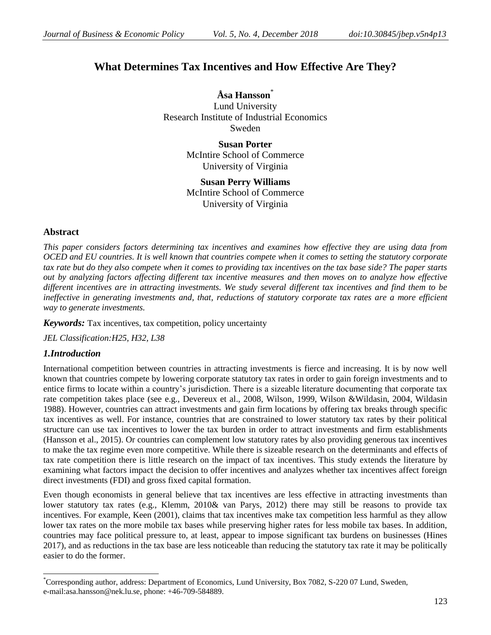# **What Determines Tax Incentives and How Effective Are They?**

**Åsa Hansson**\* Lund University Research Institute of Industrial Economics Sweden

> **Susan Porter** McIntire School of Commerce University of Virginia

> **Susan Perry Williams** McIntire School of Commerce University of Virginia

### **Abstract**

*This paper considers factors determining tax incentives and examines how effective they are using data from OCED and EU countries. It is well known that countries compete when it comes to setting the statutory corporate tax rate but do they also compete when it comes to providing tax incentives on the tax base side? The paper starts out by analyzing factors affecting different tax incentive measures and then moves on to analyze how effective different incentives are in attracting investments. We study several different tax incentives and find them to be ineffective in generating investments and, that, reductions of statutory corporate tax rates are a more efficient way to generate investments.* 

*Keywords:* Tax incentives, tax competition, policy uncertainty

*JEL Classification:H25, H32, L38*

### *1.Introduction*

 $\overline{a}$ 

International competition between countries in attracting investments is fierce and increasing. It is by now well known that countries compete by lowering corporate statutory tax rates in order to gain foreign investments and to entice firms to locate within a country's jurisdiction. There is a sizeable literature documenting that corporate tax rate competition takes place (see e.g., Devereux et al., 2008, Wilson, 1999, Wilson &Wildasin, 2004, Wildasin 1988). However, countries can attract investments and gain firm locations by offering tax breaks through specific tax incentives as well. For instance, countries that are constrained to lower statutory tax rates by their political structure can use tax incentives to lower the tax burden in order to attract investments and firm establishments (Hansson et al., 2015). Or countries can complement low statutory rates by also providing generous tax incentives to make the tax regime even more competitive. While there is sizeable research on the determinants and effects of tax rate competition there is little research on the impact of tax incentives. This study extends the literature by examining what factors impact the decision to offer incentives and analyzes whether tax incentives affect foreign direct investments (FDI) and gross fixed capital formation.

Even though economists in general believe that tax incentives are less effective in attracting investments than lower statutory tax rates (e.g., Klemm, 2010& van Parys, 2012) there may still be reasons to provide tax incentives. For example, Keen (2001), claims that tax incentives make tax competition less harmful as they allow lower tax rates on the more mobile tax bases while preserving higher rates for less mobile tax bases. In addition, countries may face political pressure to, at least, appear to impose significant tax burdens on businesses (Hines 2017), and as reductions in the tax base are less noticeable than reducing the statutory tax rate it may be politically easier to do the former.

<sup>\*</sup>Corresponding author, address: Department of Economics, Lund University, Box 7082, S-220 07 Lund, Sweden, e-mail[:asa.hansson@nek.lu.se,](mailto:asa.hansson@nek.lu.se) phone: +46-709-584889.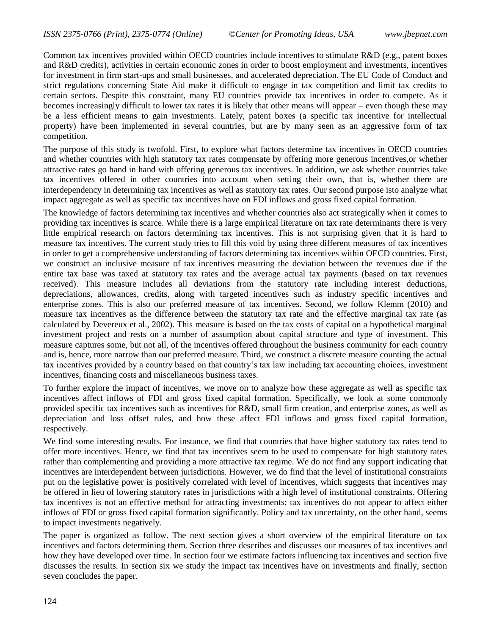Common tax incentives provided within OECD countries include incentives to stimulate R&D (e.g., patent boxes and R&D credits), activities in certain economic zones in order to boost employment and investments, incentives for investment in firm start-ups and small businesses, and accelerated depreciation. The EU Code of Conduct and strict regulations concerning State Aid make it difficult to engage in tax competition and limit tax credits to certain sectors. Despite this constraint, many EU countries provide tax incentives in order to compete. As it becomes increasingly difficult to lower tax rates it is likely that other means will appear – even though these may be a less efficient means to gain investments. Lately, patent boxes (a specific tax incentive for intellectual property) have been implemented in several countries, but are by many seen as an aggressive form of tax competition.

The purpose of this study is twofold. First, to explore what factors determine tax incentives in OECD countries and whether countries with high statutory tax rates compensate by offering more generous incentives,or whether attractive rates go hand in hand with offering generous tax incentives. In addition, we ask whether countries take tax incentives offered in other countries into account when setting their own, that is, whether there are interdependency in determining tax incentives as well as statutory tax rates. Our second purpose isto analyze what impact aggregate as well as specific tax incentives have on FDI inflows and gross fixed capital formation.

The knowledge of factors determining tax incentives and whether countries also act strategically when it comes to providing tax incentives is scarce. While there is a large empirical literature on tax rate determinants there is very little empirical research on factors determining tax incentives. This is not surprising given that it is hard to measure tax incentives. The current study tries to fill this void by using three different measures of tax incentives in order to get a comprehensive understanding of factors determining tax incentives within OECD countries. First, we construct an inclusive measure of tax incentives measuring the deviation between the revenues due if the entire tax base was taxed at statutory tax rates and the average actual tax payments (based on tax revenues received). This measure includes all deviations from the statutory rate including interest deductions, depreciations, allowances, credits, along with targeted incentives such as industry specific incentives and enterprise zones. This is also our preferred measure of tax incentives. Second, we follow Klemm (2010) and measure tax incentives as the difference between the statutory tax rate and the effective marginal tax rate (as calculated by Devereux et al., 2002). This measure is based on the tax costs of capital on a hypothetical marginal investment project and rests on a number of assumption about capital structure and type of investment. This measure captures some, but not all, of the incentives offered throughout the business community for each country and is, hence, more narrow than our preferred measure. Third, we construct a discrete measure counting the actual tax incentives provided by a country based on that country's tax law including tax accounting choices, investment incentives, financing costs and miscellaneous business taxes.

To further explore the impact of incentives, we move on to analyze how these aggregate as well as specific tax incentives affect inflows of FDI and gross fixed capital formation. Specifically, we look at some commonly provided specific tax incentives such as incentives for R&D, small firm creation, and enterprise zones, as well as depreciation and loss offset rules, and how these affect FDI inflows and gross fixed capital formation, respectively.

We find some interesting results. For instance, we find that countries that have higher statutory tax rates tend to offer more incentives. Hence, we find that tax incentives seem to be used to compensate for high statutory rates rather than complementing and providing a more attractive tax regime. We do not find any support indicating that incentives are interdependent between jurisdictions. However, we do find that the level of institutional constraints put on the legislative power is positively correlated with level of incentives, which suggests that incentives may be offered in lieu of lowering statutory rates in jurisdictions with a high level of institutional constraints. Offering tax incentives is not an effective method for attracting investments; tax incentives do not appear to affect either inflows of FDI or gross fixed capital formation significantly. Policy and tax uncertainty, on the other hand, seems to impact investments negatively.

The paper is organized as follow. The next section gives a short overview of the empirical literature on tax incentives and factors determining them. Section three describes and discusses our measures of tax incentives and how they have developed over time. In section four we estimate factors influencing tax incentives and section five discusses the results. In section six we study the impact tax incentives have on investments and finally, section seven concludes the paper.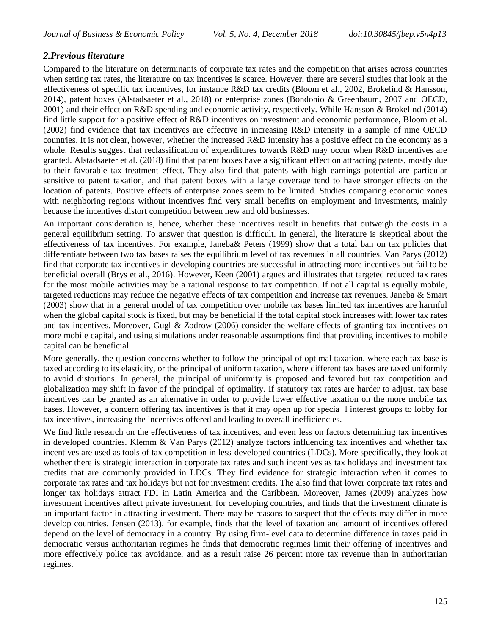# *2.Previous literature*

Compared to the literature on determinants of corporate tax rates and the competition that arises across countries when setting tax rates, the literature on tax incentives is scarce. However, there are several studies that look at the effectiveness of specific tax incentives, for instance R&D tax credits (Bloom et al., 2002, Brokelind & Hansson, 2014), patent boxes (Alstadsaeter et al., 2018) or enterprise zones (Bondonio & Greenbaum, 2007 and OECD, 2001) and their effect on R&D spending and economic activity, respectively. While Hansson & Brokelind (2014) find little support for a positive effect of R&D incentives on investment and economic performance, Bloom et al. (2002) find evidence that tax incentives are effective in increasing R&D intensity in a sample of nine OECD countries. It is not clear, however, whether the increased R&D intensity has a positive effect on the economy as a whole. Results suggest that reclassification of expenditures towards R&D may occur when R&D incentives are granted. Alstadsaeter et al. (2018) find that patent boxes have a significant effect on attracting patents, mostly due to their favorable tax treatment effect. They also find that patents with high earnings potential are particular sensitive to patent taxation, and that patent boxes with a large coverage tend to have stronger effects on the location of patents. Positive effects of enterprise zones seem to be limited. Studies comparing economic zones with neighboring regions without incentives find very small benefits on employment and investments, mainly because the incentives distort competition between new and old businesses.

An important consideration is, hence, whether these incentives result in benefits that outweigh the costs in a general equilibrium setting. To answer that question is difficult. In general, the literature is skeptical about the effectiveness of tax incentives. For example, Janeba& Peters (1999) show that a total ban on tax policies that differentiate between two tax bases raises the equilibrium level of tax revenues in all countries. Van Parys (2012) find that corporate tax incentives in developing countries are successful in attracting more incentives but fail to be beneficial overall (Brys et al., 2016). However, Keen (2001) argues and illustrates that targeted reduced tax rates for the most mobile activities may be a rational response to tax competition. If not all capital is equally mobile, targeted reductions may reduce the negative effects of tax competition and increase tax revenues. Janeba & Smart (2003) show that in a general model of tax competition over mobile tax bases limited tax incentives are harmful when the global capital stock is fixed, but may be beneficial if the total capital stock increases with lower tax rates and tax incentives. Moreover, Gugl & Zodrow (2006) consider the welfare effects of granting tax incentives on more mobile capital, and using simulations under reasonable assumptions find that providing incentives to mobile capital can be beneficial.

More generally, the question concerns whether to follow the principal of optimal taxation, where each tax base is taxed according to its elasticity, or the principal of uniform taxation, where different tax bases are taxed uniformly to avoid distortions. In general, the principal of uniformity is proposed and favored but tax competition and globalization may shift in favor of the principal of optimality. If statutory tax rates are harder to adjust, tax base incentives can be granted as an alternative in order to provide lower effective taxation on the more mobile tax bases. However, a concern offering tax incentives is that it may open up for specia l interest groups to lobby for tax incentives, increasing the incentives offered and leading to overall inefficiencies.

We find little research on the effectiveness of tax incentives, and even less on factors determining tax incentives in developed countries. Klemm & Van Parys (2012) analyze factors influencing tax incentives and whether tax incentives are used as tools of tax competition in less-developed countries (LDCs). More specifically, they look at whether there is strategic interaction in corporate tax rates and such incentives as tax holidays and investment tax credits that are commonly provided in LDCs. They find evidence for strategic interaction when it comes to corporate tax rates and tax holidays but not for investment credits. The also find that lower corporate tax rates and longer tax holidays attract FDI in Latin America and the Caribbean. Moreover, James (2009) analyzes how investment incentives affect private investment, for developing countries, and finds that the investment climate is an important factor in attracting investment. There may be reasons to suspect that the effects may differ in more develop countries. Jensen (2013), for example, finds that the level of taxation and amount of incentives offered depend on the level of democracy in a country. By using firm-level data to determine difference in taxes paid in democratic versus authoritarian regimes he finds that democratic regimes limit their offering of incentives and more effectively police tax avoidance, and as a result raise 26 percent more tax revenue than in authoritarian regimes.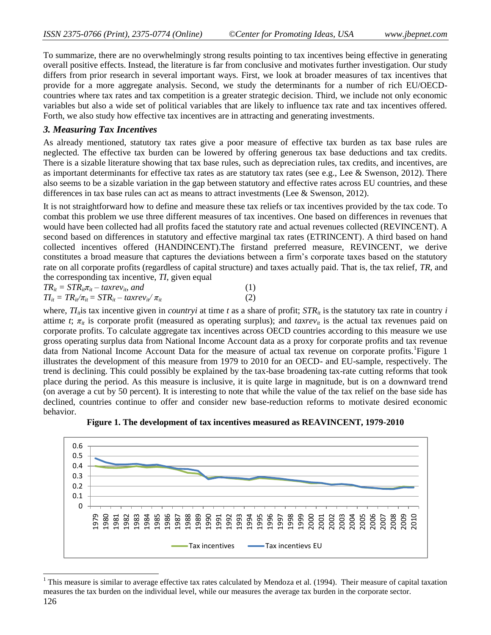To summarize, there are no overwhelmingly strong results pointing to tax incentives being effective in generating overall positive effects. Instead, the literature is far from conclusive and motivates further investigation. Our study differs from prior research in several important ways. First, we look at broader measures of tax incentives that provide for a more aggregate analysis. Second, we study the determinants for a number of rich EU/OECDcountries where tax rates and tax competition is a greater strategic decision. Third, we include not only economic variables but also a wide set of political variables that are likely to influence tax rate and tax incentives offered. Forth, we also study how effective tax incentives are in attracting and generating investments.

# *3. Measuring Tax Incentives*

 $\overline{a}$ 

As already mentioned, statutory tax rates give a poor measure of effective tax burden as tax base rules are neglected. The effective tax burden can be lowered by offering generous tax base deductions and tax credits. There is a sizable literature showing that tax base rules, such as depreciation rules, tax credits, and incentives, are as important determinants for effective tax rates as are statutory tax rates (see e.g., Lee & Swenson, 2012). There also seems to be a sizable variation in the gap between statutory and effective rates across EU countries, and these differences in tax base rules can act as means to attract investments (Lee & Swenson, 2012).

It is not straightforward how to define and measure these tax reliefs or tax incentives provided by the tax code. To combat this problem we use three different measures of tax incentives. One based on differences in revenues that would have been collected had all profits faced the statutory rate and actual revenues collected (REVINCENT). A second based on differences in statutory and effective marginal tax rates (ETRINCENT). A third based on hand collected incentives offered (HANDINCENT).The firstand preferred measure, REVINCENT, we derive constitutes a broad measure that captures the deviations between a firm's corporate taxes based on the statutory rate on all corporate profits (regardless of capital structure) and taxes actually paid. That is, the tax relief, *TR*, and the corresponding tax incentive, *TI*, given equal

| $TR_{it} = STR_{it}\pi_{it} - taxrev_{it}$ , and               |  |     |
|----------------------------------------------------------------|--|-----|
| $TI_{it} = TR_{it}/\pi_{it} = STR_{it} - taxrev_{it}/\pi_{it}$ |  | (2) |

where,  $TI_{ii}$  is tax incentive given in *countryi* at time *t* as a share of profit;  $STR_{ii}$  is the statutory tax rate in country *i* attime *t*;  $\pi_{it}$  is corporate profit (measured as operating surplus); and  $tarrev_{it}$  is the actual tax revenues paid on corporate profits. To calculate aggregate tax incentives across OECD countries according to this measure we use gross operating surplus data from National Income Account data as a proxy for corporate profits and tax revenue data from National Income Account Data for the measure of actual tax revenue on corporate profits. Figure 1 illustrates the development of this measure from 1979 to 2010 for an OECD- and EU-sample, respectively. The trend is declining. This could possibly be explained by the tax-base broadening tax-rate cutting reforms that took place during the period. As this measure is inclusive, it is quite large in magnitude, but is on a downward trend (on average a cut by 50 percent). It is interesting to note that while the value of the tax relief on the base side has declined, countries continue to offer and consider new base-reduction reforms to motivate desired economic behavior.



**Figure 1. The development of tax incentives measured as REAVINCENT, 1979-2010**

<sup>126</sup> <sup>1</sup> This measure is similar to average effective tax rates calculated by Mendoza et al. (1994). Their measure of capital taxation measures the tax burden on the individual level, while our measures the average tax burden in the corporate sector.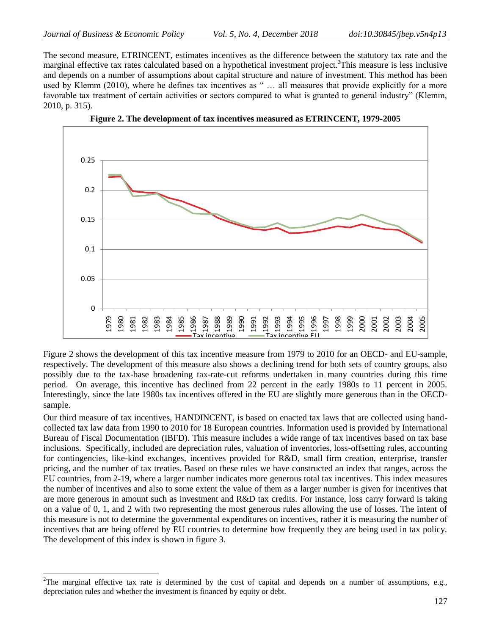$\overline{a}$ 

The second measure, ETRINCENT, estimates incentives as the difference between the statutory tax rate and the marginal effective tax rates calculated based on a hypothetical investment project.<sup>2</sup>This measure is less inclusive and depends on a number of assumptions about capital structure and nature of investment. This method has been used by Klemm (2010), where he defines tax incentives as " ... all measures that provide explicitly for a more favorable tax treatment of certain activities or sectors compared to what is granted to general industry" (Klemm, 2010, p. 315).





Figure 2 shows the development of this tax incentive measure from 1979 to 2010 for an OECD- and EU-sample, respectively. The development of this measure also shows a declining trend for both sets of country groups, also possibly due to the tax-base broadening tax-rate-cut reforms undertaken in many countries during this time period. On average, this incentive has declined from 22 percent in the early 1980s to 11 percent in 2005. Interestingly, since the late 1980s tax incentives offered in the EU are slightly more generous than in the OECDsample.

Our third measure of tax incentives, HANDINCENT, is based on enacted tax laws that are collected using handcollected tax law data from 1990 to 2010 for 18 European countries. Information used is provided by International Bureau of Fiscal Documentation (IBFD). This measure includes a wide range of tax incentives based on tax base inclusions. Specifically, included are depreciation rules, valuation of inventories, loss-offsetting rules, accounting for contingencies, like-kind exchanges, incentives provided for R&D, small firm creation, enterprise, transfer pricing, and the number of tax treaties. Based on these rules we have constructed an index that ranges, across the EU countries, from 2-19, where a larger number indicates more generous total tax incentives. This index measures the number of incentives and also to some extent the value of them as a larger number is given for incentives that are more generous in amount such as investment and R&D tax credits. For instance, loss carry forward is taking on a value of 0, 1, and 2 with two representing the most generous rules allowing the use of losses. The intent of this measure is not to determine the governmental expenditures on incentives, rather it is measuring the number of incentives that are being offered by EU countries to determine how frequently they are being used in tax policy. The development of this index is shown in figure 3.

<sup>&</sup>lt;sup>2</sup>The marginal effective tax rate is determined by the cost of capital and depends on a number of assumptions, e.g., depreciation rules and whether the investment is financed by equity or debt.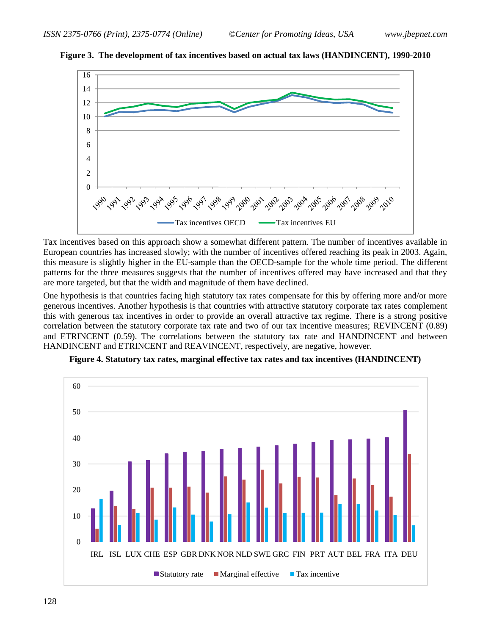



Tax incentives based on this approach show a somewhat different pattern. The number of incentives available in European countries has increased slowly; with the number of incentives offered reaching its peak in 2003. Again, this measure is slightly higher in the EU-sample than the OECD-sample for the whole time period. The different patterns for the three measures suggests that the number of incentives offered may have increased and that they are more targeted, but that the width and magnitude of them have declined.

One hypothesis is that countries facing high statutory tax rates compensate for this by offering more and/or more generous incentives. Another hypothesis is that countries with attractive statutory corporate tax rates complement this with generous tax incentives in order to provide an overall attractive tax regime. There is a strong positive correlation between the statutory corporate tax rate and two of our tax incentive measures; REVINCENT (0.89) and ETRINCENT (0.59). The correlations between the statutory tax rate and HANDINCENT and between HANDINCENT and ETRINCENT and REAVINCENT, respectively, are negative, however.



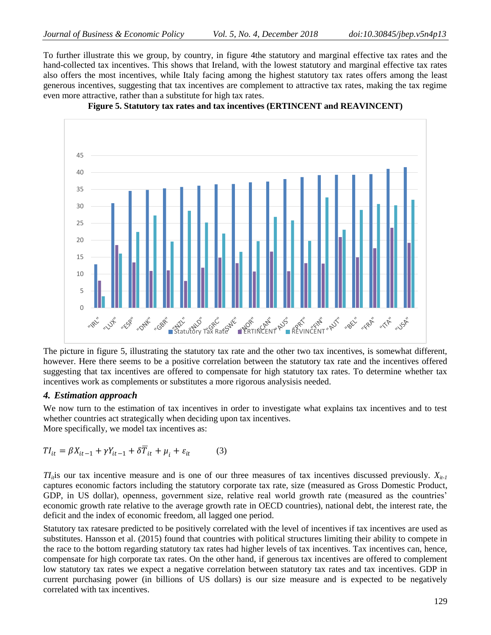To further illustrate this we group, by country, in figure 4the statutory and marginal effective tax rates and the hand-collected tax incentives. This shows that Ireland, with the lowest statutory and marginal effective tax rates also offers the most incentives, while Italy facing among the highest statutory tax rates offers among the least generous incentives, suggesting that tax incentives are complement to attractive tax rates, making the tax regime even more attractive, rather than a substitute for high tax rates.



**Figure 5. Statutory tax rates and tax incentives (ERTINCENT and REAVINCENT)**

The picture in figure 5, illustrating the statutory tax rate and the other two tax incentives, is somewhat different, however. Here there seems to be a positive correlation between the statutory tax rate and the incentives offered suggesting that tax incentives are offered to compensate for high statutory tax rates. To determine whether tax incentives work as complements or substitutes a more rigorous analysisis needed.

#### *4. Estimation approach*

We now turn to the estimation of tax incentives in order to investigate what explains tax incentives and to test whether countries act strategically when deciding upon tax incentives. More specifically, we model tax incentives as:

$$
TI_{it} = \beta X_{it-1} + \gamma Y_{it-1} + \delta \overline{T}_{it} + \mu_i + \varepsilon_{it}
$$
 (3)

 $T_l$ <sup>*it*</sup>is our tax incentive measure and is one of our three measures of tax incentives discussed previously.  $X_{i_l}$ captures economic factors including the statutory corporate tax rate, size (measured as Gross Domestic Product, GDP, in US dollar), openness, government size, relative real world growth rate (measured as the countries' economic growth rate relative to the average growth rate in OECD countries), national debt, the interest rate, the deficit and the index of economic freedom, all lagged one period.

Statutory tax ratesare predicted to be positively correlated with the level of incentives if tax incentives are used as substitutes. Hansson et al. (2015) found that countries with political structures limiting their ability to compete in the race to the bottom regarding statutory tax rates had higher levels of tax incentives. Tax incentives can, hence, compensate for high corporate tax rates. On the other hand, if generous tax incentives are offered to complement low statutory tax rates we expect a negative correlation between statutory tax rates and tax incentives. GDP in current purchasing power (in billions of US dollars) is our size measure and is expected to be negatively correlated with tax incentives.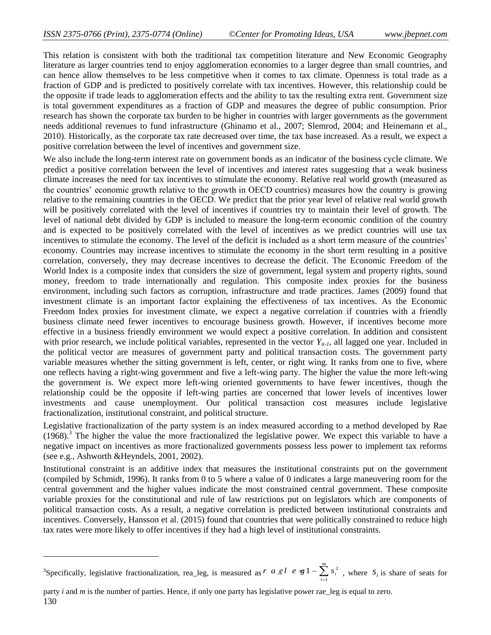This relation is consistent with both the traditional tax competition literature and New Economic Geography literature as larger countries tend to enjoy agglomeration economies to a larger degree than small countries, and can hence allow themselves to be less competitive when it comes to tax climate. Openness is total trade as a fraction of GDP and is predicted to positively correlate with tax incentives. However, this relationship could be the opposite if trade leads to agglomeration effects and the ability to tax the resulting extra rent. Government size is total government expenditures as a fraction of GDP and measures the degree of public consumption. Prior research has shown the corporate tax burden to be higher in countries with larger governments as the government needs additional revenues to fund infrastructure (Ghinamo et al., 2007; Slemrod, 2004; and Heinemann et al., 2010). Historically, as the corporate tax rate decreased over time, the tax base increased. As a result, we expect a positive correlation between the level of incentives and government size.

We also include the long-term interest rate on government bonds as an indicator of the business cycle climate. We predict a positive correlation between the level of incentives and interest rates suggesting that a weak business climate increases the need for tax incentives to stimulate the economy. Relative real world growth (measured as the countries' economic growth relative to the growth in OECD countries) measures how the country is growing relative to the remaining countries in the OECD. We predict that the prior year level of relative real world growth will be positively correlated with the level of incentives if countries try to maintain their level of growth. The level of national debt divided by GDP is included to measure the long-term economic condition of the country and is expected to be positively correlated with the level of incentives as we predict countries will use tax incentives to stimulate the economy. The level of the deficit is included as a short term measure of the countries' economy. Countries may increase incentives to stimulate the economy in the short term resulting in a positive correlation, conversely, they may decrease incentives to decrease the deficit. The Economic Freedom of the World Index is a composite index that considers the size of government, legal system and property rights, sound money, freedom to trade internationally and regulation. This composite index proxies for the business environment, including such factors as corruption, infrastructure and trade practices. James (2009) found that investment climate is an important factor explaining the effectiveness of tax incentives. As the Economic Freedom Index proxies for investment climate, we expect a negative correlation if countries with a friendly business climate need fewer incentives to encourage business growth. However, if incentives become more effective in a business friendly environment we would expect a positive correlation. In addition and consistent with prior research, we include political variables, represented in the vector  $Y_{it-1}$ , all lagged one year. Included in the political vector are measures of government party and political transaction costs. The government party variable measures whether the sitting government is left, center, or right wing. It ranks from one to five, where one reflects having a right-wing government and five a left-wing party. The higher the value the more left-wing the government is. We expect more left-wing oriented governments to have fewer incentives, though the relationship could be the opposite if left-wing parties are concerned that lower levels of incentives lower investments and cause unemployment. Our political transaction cost measures include legislative fractionalization, institutional constraint, and political structure.

Legislative fractionalization of the party system is an index measured according to a method developed by Rae  $(1968)$ .<sup>3</sup> The higher the value the more fractionalized the legislative power. We expect this variable to have a negative impact on incentives as more fractionalized governments possess less power to implement tax reforms (see e.g., Ashworth &Heyndels, 2001, 2002).

Institutional constraint is an additive index that measures the institutional constraints put on the government (compiled by Schmidt, 1996). It ranks from 0 to 5 where a value of 0 indicates a large maneuvering room for the central government and the higher values indicate the most constrained central government. These composite variable proxies for the constitutional and rule of law restrictions put on legislators which are components of political transaction costs. As a result, a negative correlation is predicted between institutional constraints and incentives. Conversely, Hansson et al. (2015) found that countries that were politically constrained to reduce high tax rates were more likely to offer incentives if they had a high level of institutional constraints.

 $\overline{a}$ 

<sup>&</sup>lt;sup>3</sup>Specifically, legislative fractionalization, rea\_leg, is measured as  $r$   $a \ne l$   $e \ne g1 - \sum_{i=1}^{m} s_i^2$ , where  $s_i$  is share of seats for party *i* and *m* is the number of parties. Hence, if only one party has legislat  $\int r \ a \ e l \ e \ \mathfrak{B} \{1 - \sum_{i=1}^s s_i^2 \},$  where  $s_i$  is shart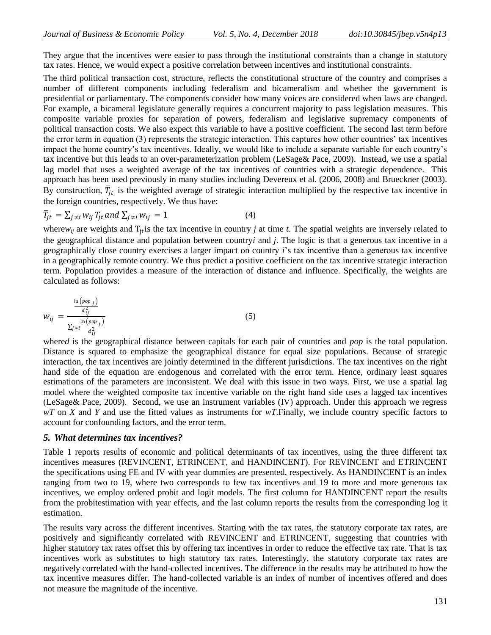They argue that the incentives were easier to pass through the institutional constraints than a change in statutory tax rates. Hence, we would expect a positive correlation between incentives and institutional constraints.

The third political transaction cost, structure, reflects the constitutional structure of the country and comprises a number of different components including federalism and bicameralism and whether the government is presidential or parliamentary. The components consider how many voices are considered when laws are changed. For example, a bicameral legislature generally requires a concurrent majority to pass legislation measures. This composite variable proxies for separation of powers, federalism and legislative supremacy components of political transaction costs. We also expect this variable to have a positive coefficient. The second last term before the error term in equation (3) represents the strategic interaction. This captures how other countries' tax incentives impact the home country's tax incentives. Ideally, we would like to include a separate variable for each country's tax incentive but this leads to an over-parameterization problem (LeSage& Pace, 2009). Instead, we use a spatial lag model that uses a weighted average of the tax incentives of countries with a strategic dependence. This approach has been used previously in many studies including Devereux et al. (2006, 2008) and Brueckner (2003). By construction,  $\bar{T}_{jt}$  is the weighted average of strategic interaction multiplied by the respective tax incentive in the foreign countries, respectively. We thus have:

$$
\bar{T}_{jt} = \sum_{j \neq i} w_{ij} T_{jt} \text{ and } \sum_{j \neq i} w_{ij} = 1 \tag{4}
$$

where $w_{ij}$  are weights and  $T_{it}$  is the tax incentive in country *j* at time *t*. The spatial weights are inversely related to the geographical distance and population between country*i* and *j*. The logic is that a generous tax incentive in a geographically close country exercises a larger impact on country *i*'s tax incentive than a generous tax incentive in a geographically remote country. We thus predict a positive coefficient on the tax incentive strategic interaction term. Population provides a measure of the interaction of distance and influence. Specifically, the weights are calculated as follows:

$$
w_{ij} = \frac{\frac{\ln\left(pop_j\right)}{d_{ij}^2}}{\sum_{j\neq i} \frac{\ln\left(pop_j\right)}{d_{ij}^2}}
$$
\n
$$
\tag{5}
$$

where*d* is the geographical distance between capitals for each pair of countries and *pop* is the total population. Distance is squared to emphasize the geographical distance for equal size populations. Because of strategic interaction, the tax incentives are jointly determined in the different jurisdictions. The tax incentives on the right hand side of the equation are endogenous and correlated with the error term. Hence, ordinary least squares estimations of the parameters are inconsistent. We deal with this issue in two ways. First, we use a spatial lag model where the weighted composite tax incentive variable on the right hand side uses a lagged tax incentives (LeSage& Pace, 2009). Second, we use an instrument variables (IV) approach. Under this approach we regress *wT* on *X* and *Y* and use the fitted values as instruments for *wT*.Finally, we include country specific factors to account for confounding factors, and the error term.

#### *5. What determines tax incentives?*

Table 1 reports results of economic and political determinants of tax incentives, using the three different tax incentives measures (REVINCENT, ETRINCENT, and HANDINCENT). For REVINCENT and ETRINCENT the specifications using FE and IV with year dummies are presented, respectively. As HANDINCENT is an index ranging from two to 19, where two corresponds to few tax incentives and 19 to more and more generous tax incentives, we employ ordered probit and logit models. The first column for HANDINCENT report the results from the probitestimation with year effects, and the last column reports the results from the corresponding log it estimation.

The results vary across the different incentives. Starting with the tax rates, the statutory corporate tax rates, are positively and significantly correlated with REVINCENT and ETRINCENT, suggesting that countries with higher statutory tax rates offset this by offering tax incentives in order to reduce the effective tax rate. That is tax incentives work as substitutes to high statutory tax rates. Interestingly, the statutory corporate tax rates are negatively correlated with the hand-collected incentives. The difference in the results may be attributed to how the tax incentive measures differ. The hand-collected variable is an index of number of incentives offered and does not measure the magnitude of the incentive.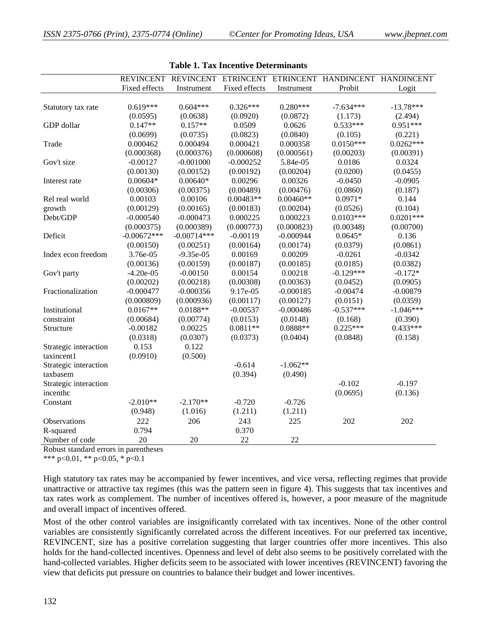|                       | <b>REVINCENT</b> |               |               |             | REVINCENT ETRINCENT ETRINCENT HANDINCENT | <b>HANDINCENT</b> |
|-----------------------|------------------|---------------|---------------|-------------|------------------------------------------|-------------------|
|                       | Fixed effects    | Instrument    | Fixed effects | Instrument  | Probit                                   | Logit             |
|                       |                  |               |               |             |                                          |                   |
| Statutory tax rate    | $0.619***$       | $0.604***$    | $0.326***$    | $0.280***$  | $-7.634***$                              | $-13.78***$       |
|                       | (0.0595)         | (0.0638)      | (0.0920)      | (0.0872)    | (1.173)                                  | (2.494)           |
| GDP dollar            | $0.147**$        | $0.157**$     | 0.0509        | 0.0626      | $0.533***$                               | $0.951***$        |
|                       | (0.0699)         | (0.0735)      | (0.0823)      | (0.0840)    | (0.105)                                  | (0.221)           |
| Trade                 | 0.000462         | 0.000494      | 0.000421      | 0.000358    | $0.0150***$                              | $0.0262***$       |
|                       | (0.000368)       | (0.000376)    | (0.000608)    | (0.000561)  | (0.00203)                                | (0.00391)         |
| Gov't size            | $-0.00127$       | $-0.001000$   | $-0.000252$   | 5.84e-05    | 0.0186                                   | 0.0324            |
|                       | (0.00130)        | (0.00152)     | (0.00192)     | (0.00204)   | (0.0200)                                 | (0.0455)          |
| Interest rate         | $0.00604*$       | $0.00640*$    | 0.00296       | 0.00326     | $-0.0450$                                | $-0.0905$         |
|                       | (0.00306)        | (0.00375)     | (0.00489)     | (0.00476)   | (0.0860)                                 | (0.187)           |
| Rel real world        | 0.00103          | 0.00106       | $0.00483**$   | $0.00460**$ | $0.0971*$                                | 0.144             |
| growth                | (0.00129)        | (0.00165)     | (0.00183)     | (0.00204)   | (0.0526)                                 | (0.104)           |
| Debt/GDP              | $-0.000540$      | $-0.000473$   | 0.000225      | 0.000223    | $0.0103***$                              | $0.0201***$       |
|                       | (0.000375)       | (0.000389)    | (0.000773)    | (0.000823)  | (0.00348)                                | (0.00700)         |
| Deficit               | $-0.00672***$    | $-0.00714***$ | $-0.00119$    | $-0.000944$ | $0.0645*$                                | 0.136             |
|                       | (0.00150)        | (0.00251)     | (0.00164)     | (0.00174)   | (0.0379)                                 | (0.0861)          |
| Index econ freedom    | 3.76e-05         | $-9.35e-05$   | 0.00169       | 0.00209     | $-0.0261$                                | $-0.0342$         |
|                       | (0.00136)        | (0.00159)     | (0.00187)     | (0.00185)   | (0.0185)                                 | (0.0382)          |
| Gov't party           | $-4.20e-05$      | $-0.00150$    | 0.00154       | 0.00218     | $-0.129***$                              | $-0.172*$         |
|                       | (0.00202)        | (0.00218)     | (0.00308)     | (0.00363)   | (0.0452)                                 | (0.0905)          |
| Fractionalization     | $-0.000477$      | $-0.000356$   | 9.17e-05      | $-0.000185$ | $-0.00474$                               | $-0.00879$        |
|                       | (0.000809)       | (0.000936)    | (0.00117)     | (0.00127)   | (0.0151)                                 | (0.0359)          |
| Institutional         | $0.0167**$       | $0.0188**$    | $-0.00537$    | $-0.000486$ | $-0.537***$                              | $-1.046***$       |
| constraint            | (0.00684)        | (0.00774)     | (0.0153)      | (0.0148)    | (0.168)                                  | (0.390)           |
| Structure             | $-0.00182$       | 0.00225       | $0.0811**$    | $0.0888**$  | $0.225***$                               | $0.433***$        |
|                       | (0.0318)         | (0.0307)      | (0.0373)      | (0.0404)    | (0.0848)                                 | (0.158)           |
| Strategic interaction | 0.153            | 0.122         |               |             |                                          |                   |
| taxincent1            | (0.0910)         | (0.500)       |               |             |                                          |                   |
| Strategic interaction |                  |               | $-0.614$      | $-1.062**$  |                                          |                   |
| taxbasem              |                  |               | (0.394)       | (0.490)     |                                          |                   |
| Strategic interaction |                  |               |               |             | $-0.102$                                 | $-0.197$          |
| incenthc              |                  |               |               |             | (0.0695)                                 | (0.136)           |
| Constant              | $-2.010**$       | $-2.170**$    | $-0.720$      | $-0.726$    |                                          |                   |
|                       | (0.948)          | (1.016)       | (1.211)       | (1.211)     |                                          |                   |
| Observations          | 222              | 206           | 243           | 225         | 202                                      | 202               |
| R-squared             | 0.794            |               | 0.370         |             |                                          |                   |
| Number of code        | 20               | 20            | 22            | 22          |                                          |                   |

| Table 1. Tax Incentive Determinants |  |
|-------------------------------------|--|
|-------------------------------------|--|

Robust standard errors in parentheses

\*\*\* p<0.01, \*\* p<0.05, \* p<0.1

High statutory tax rates may be accompanied by fewer incentives, and vice versa, reflecting regimes that provide unattractive or attractive tax regimes (this was the pattern seen in figure 4). This suggests that tax incentives and tax rates work as complement. The number of incentives offered is, however, a poor measure of the magnitude and overall impact of incentives offered.

Most of the other control variables are insignificantly correlated with tax incentives. None of the other control variables are consistently significantly correlated across the different incentives. For our preferred tax incentive, REVINCENT, size has a positive correlation suggesting that larger countries offer more incentives. This also holds for the hand-collected incentives. Openness and level of debt also seems to be positively correlated with the hand-collected variables. Higher deficits seem to be associated with lower incentives (REVINCENT) favoring the view that deficits put pressure on countries to balance their budget and lower incentives.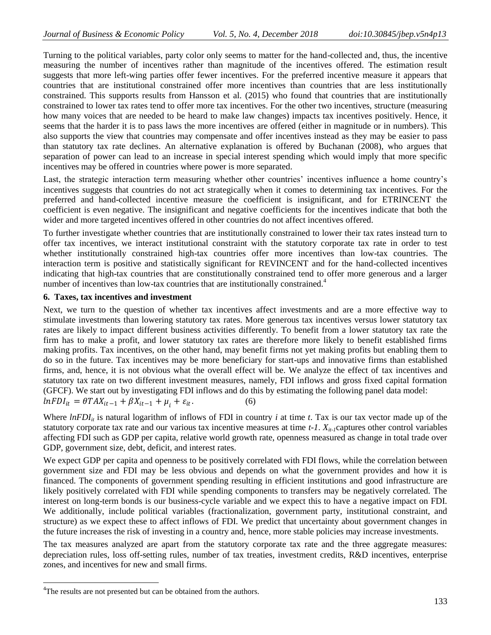Turning to the political variables, party color only seems to matter for the hand-collected and, thus, the incentive measuring the number of incentives rather than magnitude of the incentives offered. The estimation result suggests that more left-wing parties offer fewer incentives. For the preferred incentive measure it appears that countries that are institutional constrained offer more incentives than countries that are less institutionally constrained. This supports results from Hansson et al. (2015) who found that countries that are institutionally constrained to lower tax rates tend to offer more tax incentives. For the other two incentives, structure (measuring how many voices that are needed to be heard to make law changes) impacts tax incentives positively. Hence, it seems that the harder it is to pass laws the more incentives are offered (either in magnitude or in numbers). This also supports the view that countries may compensate and offer incentives instead as they may be easier to pass than statutory tax rate declines. An alternative explanation is offered by Buchanan (2008), who argues that separation of power can lead to an increase in special interest spending which would imply that more specific incentives may be offered in countries where power is more separated.

Last, the strategic interaction term measuring whether other countries' incentives influence a home country's incentives suggests that countries do not act strategically when it comes to determining tax incentives. For the preferred and hand-collected incentive measure the coefficient is insignificant, and for ETRINCENT the coefficient is even negative. The insignificant and negative coefficients for the incentives indicate that both the wider and more targeted incentives offered in other countries do not affect incentives offered.

To further investigate whether countries that are institutionally constrained to lower their tax rates instead turn to offer tax incentives, we interact institutional constraint with the statutory corporate tax rate in order to test whether institutionally constrained high-tax countries offer more incentives than low-tax countries. The interaction term is positive and statistically significant for REVINCENT and for the hand-collected incentives indicating that high-tax countries that are constitutionally constrained tend to offer more generous and a larger number of incentives than low-tax countries that are institutionally constrained.<sup>4</sup>

#### **6. Taxes, tax incentives and investment**

Next, we turn to the question of whether tax incentives affect investments and are a more effective way to stimulate investments than lowering statutory tax rates. More generous tax incentives versus lower statutory tax rates are likely to impact different business activities differently. To benefit from a lower statutory tax rate the firm has to make a profit, and lower statutory tax rates are therefore more likely to benefit established firms making profits. Tax incentives, on the other hand, may benefit firms not yet making profits but enabling them to do so in the future. Tax incentives may be more beneficiary for start-ups and innovative firms than established firms, and, hence, it is not obvious what the overall effect will be. We analyze the effect of tax incentives and statutory tax rate on two different investment measures, namely, FDI inflows and gross fixed capital formation (GFCF). We start out by investigating FDI inflows and do this by estimating the following panel data model:  $lnFDI_{it} = \theta TAX_{it-1} + \beta X_{it-1} + \mu_i + \varepsilon_{it}.$  $(6)$ 

Where  $lnFDI_{ii}$  is natural logarithm of inflows of FDI in country *i* at time *t*. Tax is our tax vector made up of the statutory corporate tax rate and our various tax incentive measures at time  $t-1$ .  $X_{it-1}$ captures other control variables affecting FDI such as GDP per capita, relative world growth rate, openness measured as change in total trade over GDP, government size, debt, deficit, and interest rates.

We expect GDP per capita and openness to be positively correlated with FDI flows, while the correlation between government size and FDI may be less obvious and depends on what the government provides and how it is financed. The components of government spending resulting in efficient institutions and good infrastructure are likely positively correlated with FDI while spending components to transfers may be negatively correlated. The interest on long-term bonds is our business-cycle variable and we expect this to have a negative impact on FDI. We additionally, include political variables (fractionalization, government party, institutional constraint, and structure) as we expect these to affect inflows of FDI. We predict that uncertainty about government changes in the future increases the risk of investing in a country and, hence, more stable policies may increase investments.

The tax measures analyzed are apart from the statutory corporate tax rate and the three aggregate measures: depreciation rules, loss off-setting rules, number of tax treaties, investment credits, R&D incentives, enterprise zones, and incentives for new and small firms.

 $\overline{a}$ 

<sup>&</sup>lt;sup>4</sup>The results are not presented but can be obtained from the authors.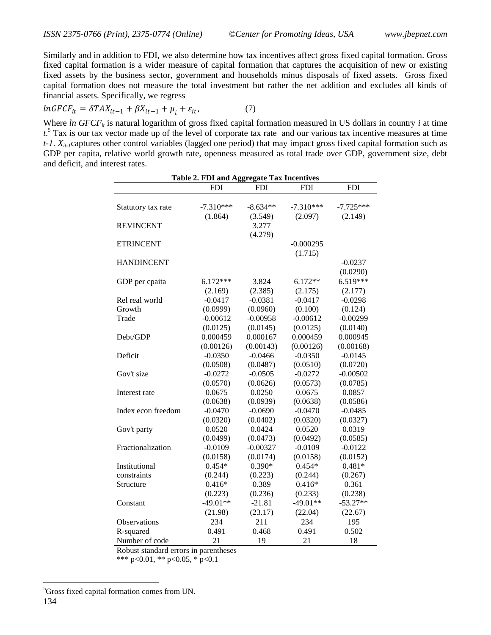Similarly and in addition to FDI, we also determine how tax incentives affect gross fixed capital formation. Gross fixed capital formation is a wider measure of capital formation that captures the acquisition of new or existing fixed assets by the business sector, government and households minus disposals of fixed assets. Gross fixed capital formation does not measure the total investment but rather the net addition and excludes all kinds of financial assets. Specifically, we regress

$$
lnGFCF_{it} = \delta TAX_{it-1} + \beta X_{it-1} + \mu_i + \varepsilon_{it}, \tag{7}
$$

Where *ln GFCF<sub>it</sub>* is natural logarithm of gross fixed capital formation measured in US dollars in country *i* at time *t*. <sup>5</sup> Tax is our tax vector made up of the level of corporate tax rate and our various tax incentive measures at time  $t$ -1.  $X_{it}$  captures other control variables (lagged one period) that may impact gross fixed capital formation such as GDP per capita, relative world growth rate, openness measured as total trade over GDP, government size, debt and deficit, and interest rates.

| <b>Table 2. FDI and Aggregate Tax Incentives</b> |             |            |             |                  |  |  |  |  |  |
|--------------------------------------------------|-------------|------------|-------------|------------------|--|--|--|--|--|
|                                                  | <b>FDI</b>  | <b>FDI</b> | <b>FDI</b>  | $\overline{FDI}$ |  |  |  |  |  |
|                                                  |             |            |             |                  |  |  |  |  |  |
| Statutory tax rate                               | $-7.310***$ | $-8.634**$ | $-7.310***$ | $-7.725***$      |  |  |  |  |  |
|                                                  | (1.864)     | (3.549)    | (2.097)     | (2.149)          |  |  |  |  |  |
| <b>REVINCENT</b>                                 |             | 3.277      |             |                  |  |  |  |  |  |
|                                                  |             | (4.279)    |             |                  |  |  |  |  |  |
| <b>ETRINCENT</b>                                 |             |            | $-0.000295$ |                  |  |  |  |  |  |
|                                                  |             |            | (1.715)     |                  |  |  |  |  |  |
| <b>HANDINCENT</b>                                |             |            |             | $-0.0237$        |  |  |  |  |  |
|                                                  |             |            |             | (0.0290)         |  |  |  |  |  |
| GDP per cpaita                                   | $6.172***$  | 3.824      | $6.172**$   | $6.519***$       |  |  |  |  |  |
|                                                  | (2.169)     | (2.385)    | (2.175)     | (2.177)          |  |  |  |  |  |
| Rel real world                                   | $-0.0417$   | $-0.0381$  | $-0.0417$   | $-0.0298$        |  |  |  |  |  |
| Growth                                           | (0.0999)    | (0.0960)   | (0.100)     | (0.124)          |  |  |  |  |  |
| Trade                                            | $-0.00612$  | $-0.00958$ | $-0.00612$  | $-0.00299$       |  |  |  |  |  |
|                                                  | (0.0125)    | (0.0145)   | (0.0125)    | (0.0140)         |  |  |  |  |  |
| Debt/GDP                                         | 0.000459    | 0.000167   | 0.000459    | 0.000945         |  |  |  |  |  |
|                                                  | (0.00126)   | (0.00143)  | (0.00126)   | (0.00168)        |  |  |  |  |  |
| Deficit                                          | $-0.0350$   | $-0.0466$  | $-0.0350$   | $-0.0145$        |  |  |  |  |  |
|                                                  | (0.0508)    | (0.0487)   | (0.0510)    | (0.0720)         |  |  |  |  |  |
| Gov't size                                       | $-0.0272$   | $-0.0505$  | $-0.0272$   | $-0.00502$       |  |  |  |  |  |
|                                                  | (0.0570)    | (0.0626)   | (0.0573)    | (0.0785)         |  |  |  |  |  |
| Interest rate                                    | 0.0675      | 0.0250     | 0.0675      | 0.0857           |  |  |  |  |  |
|                                                  | (0.0638)    | (0.0939)   | (0.0638)    | (0.0586)         |  |  |  |  |  |
| Index econ freedom                               | $-0.0470$   | $-0.0690$  | $-0.0470$   | $-0.0485$        |  |  |  |  |  |
|                                                  | (0.0320)    | (0.0402)   | (0.0320)    | (0.0327)         |  |  |  |  |  |
| Gov't party                                      | 0.0520      | 0.0424     | 0.0520      | 0.0319           |  |  |  |  |  |
|                                                  | (0.0499)    | (0.0473)   | (0.0492)    | (0.0585)         |  |  |  |  |  |
| Fractionalization                                | $-0.0109$   | $-0.00327$ | $-0.0109$   | $-0.0122$        |  |  |  |  |  |
|                                                  | (0.0158)    | (0.0174)   | (0.0158)    | (0.0152)         |  |  |  |  |  |
| Institutional                                    | $0.454*$    | $0.390*$   | $0.454*$    | $0.481*$         |  |  |  |  |  |
| constraints                                      | (0.244)     | (0.223)    | (0.244)     | (0.267)          |  |  |  |  |  |
| Structure                                        | $0.416*$    | 0.389      | $0.416*$    | 0.361            |  |  |  |  |  |
|                                                  | (0.223)     | (0.236)    | (0.233)     | (0.238)          |  |  |  |  |  |
| Constant                                         | $-49.01**$  | $-21.81$   | $-49.01**$  | $-53.27**$       |  |  |  |  |  |
|                                                  | (21.98)     | (23.17)    | (22.04)     | (22.67)          |  |  |  |  |  |
| Observations                                     | 234         | 211        | 234         | 195              |  |  |  |  |  |
| R-squared                                        | 0.491       | 0.468      | 0.491       | 0.502            |  |  |  |  |  |
| Number of code                                   | 21          | 19         | 21          | 18               |  |  |  |  |  |

Robust standard errors in parentheses

\*\*\* p<0.01, \*\* p<0.05, \* p<0.1

 $\overline{a}$ 

<sup>&</sup>lt;sup>5</sup>Gross fixed capital formation comes from UN.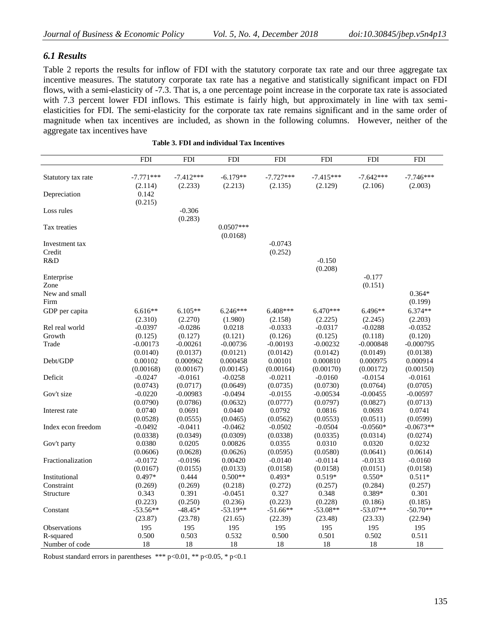# *6.1 Results*

Table 2 reports the results for inflow of FDI with the statutory corporate tax rate and our three aggregate tax incentive measures. The statutory corporate tax rate has a negative and statistically significant impact on FDI flows, with a semi-elasticity of -7.3. That is, a one percentage point increase in the corporate tax rate is associated with 7.3 percent lower FDI inflows. This estimate is fairly high, but approximately in line with tax semielasticities for FDI. The semi-elasticity for the corporate tax rate remains significant and in the same order of magnitude when tax incentives are included, as shown in the following columns. However, neither of the aggregate tax incentives have

|                    | <b>FDI</b>             | <b>FDI</b>             | <b>FDI</b>              | <b>FDI</b>             | <b>FDI</b>             | <b>FDI</b>             | <b>FDI</b>             |
|--------------------|------------------------|------------------------|-------------------------|------------------------|------------------------|------------------------|------------------------|
|                    |                        |                        |                         |                        |                        |                        |                        |
| Statutory tax rate | $-7.771***$<br>(2.114) | $-7.412***$<br>(2.233) | $-6.179**$<br>(2.213)   | $-7.727***$<br>(2.135) | $-7.415***$<br>(2.129) | $-7.642***$<br>(2.106) | $-7.746***$<br>(2.003) |
| Depreciation       | 0.142<br>(0.215)       |                        |                         |                        |                        |                        |                        |
| Loss rules         |                        | $-0.306$<br>(0.283)    |                         |                        |                        |                        |                        |
| Tax treaties       |                        |                        | $0.0507***$<br>(0.0168) |                        |                        |                        |                        |
| Investment tax     |                        |                        |                         | $-0.0743$              |                        |                        |                        |
| Credit             |                        |                        |                         | (0.252)                |                        |                        |                        |
| R&D                |                        |                        |                         |                        | $-0.150$               |                        |                        |
|                    |                        |                        |                         |                        | (0.208)                |                        |                        |
| Enterprise         |                        |                        |                         |                        |                        | $-0.177$               |                        |
| Zone               |                        |                        |                         |                        |                        | (0.151)                |                        |
| New and small      |                        |                        |                         |                        |                        |                        | $0.364*$               |
| Firm               |                        |                        |                         |                        |                        |                        | (0.199)                |
| GDP per capita     | $6.616**$              | $6.105**$              | $6.246***$              | $6.408***$             | $6.470***$             | 6.496**                | $6.374**$              |
|                    | (2.310)                | (2.270)                | (1.980)                 | (2.158)                | (2.225)                | (2.245)                | (2.203)                |
| Rel real world     | $-0.0397$              | $-0.0286$              | 0.0218                  | $-0.0333$              | $-0.0317$              | $-0.0288$              | $-0.0352$              |
| Growth             | (0.125)                | (0.127)                | (0.121)                 | (0.126)                | (0.125)                | (0.118)                | (0.120)                |
| Trade              | $-0.00173$             | $-0.00261$             | $-0.00736$              | $-0.00193$             | $-0.00232$             | $-0.000848$            | $-0.000795$            |
|                    | (0.0140)               | (0.0137)               | (0.0121)                | (0.0142)               | (0.0142)               | (0.0149)               | (0.0138)               |
| Debt/GDP           | 0.00102                | 0.000962               | 0.000458                | 0.00101                | 0.000810               | 0.000975               | 0.000914               |
|                    | (0.00168)              | (0.00167)              | (0.00145)               | (0.00164)              | (0.00170)              | (0.00172)              | (0.00150)              |
| Deficit            | $-0.0247$              | $-0.0161$              | $-0.0258$               | $-0.0211$              | $-0.0160$              | $-0.0154$              | $-0.0161$              |
|                    | (0.0743)               | (0.0717)               | (0.0649)                | (0.0735)               | (0.0730)               | (0.0764)               | (0.0705)               |
| Gov't size         | $-0.0220$              | $-0.00983$             | $-0.0494$               | $-0.0155$              | $-0.00534$             | $-0.00455$             | $-0.00597$             |
|                    | (0.0790)               | (0.0786)               | (0.0632)                | (0.0777)               | (0.0797)               | (0.0827)               | (0.0713)               |
| Interest rate      | 0.0740                 | 0.0691                 | 0.0440                  | 0.0792                 | 0.0816                 | 0.0693                 | 0.0741                 |
|                    | (0.0528)               | (0.0555)               | (0.0465)                | (0.0562)               | (0.0553)               | (0.0511)               | (0.0599)               |
| Index econ freedom | $-0.0492$              | $-0.0411$              | $-0.0462$               | $-0.0502$              | $-0.0504$              | $-0.0560*$             | $-0.0673**$            |
|                    | (0.0338)               | (0.0349)               | (0.0309)                | (0.0338)               | (0.0335)               | (0.0314)               | (0.0274)               |
| Gov't party        | 0.0380                 | 0.0205                 | 0.00826                 | 0.0355                 | 0.0310                 | 0.0320                 | 0.0232                 |
|                    | (0.0606)               | (0.0628)               | (0.0626)                | (0.0595)               | (0.0580)               | (0.0641)               | (0.0614)               |
| Fractionalization  | $-0.0172$              | $-0.0196$              | 0.00420                 | $-0.0140$              | $-0.0114$              | $-0.0133$              | $-0.0160$              |
|                    | (0.0167)               | (0.0155)               | (0.0133)                | (0.0158)               | (0.0158)               | (0.0151)               | (0.0158)               |
| Institutional      | $0.497*$               | 0.444                  | $0.500**$               | $0.493*$               | $0.519*$               | $0.550*$               | $0.511*$               |
| Constraint         | (0.269)                | (0.269)                | (0.218)                 | (0.272)                | (0.257)                | (0.284)                | (0.257)                |
| Structure          | 0.343                  | 0.391                  | $-0.0451$               | 0.327                  | 0.348                  | 0.389*                 | 0.301                  |
|                    | (0.223)                | (0.250)                | (0.236)                 | (0.223)                | (0.228)                | (0.186)                | (0.185)                |
| Constant           | $-53.56**$             | $-48.45*$              | $-53.19**$              | $-51.66**$             | $-53.08**$             | $-53.07**$             | $-50.70**$             |
|                    | (23.87)                | (23.78)                | (21.65)                 | (22.39)                | (23.48)                | (23.33)                | (22.94)                |
| Observations       | 195                    | 195                    | 195                     | 195                    | 195                    | 195                    | 195                    |
| R-squared          | 0.500                  | 0.503                  | 0.532                   | 0.500                  | 0.501                  | 0.502                  | 0.511                  |
| Number of code     | 18                     | 18                     | 18                      | 18                     | 18                     | 18                     | 18                     |

**Table 3. FDI and individual Tax Incentives**

Robust standard errors in parentheses \*\*\* p<0.01, \*\* p<0.05, \* p<0.1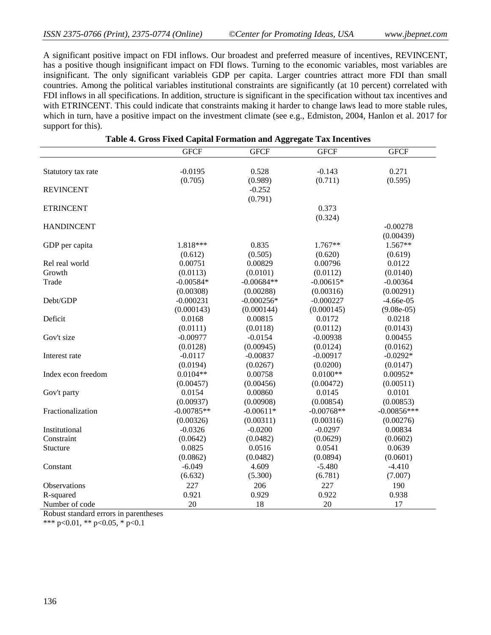A significant positive impact on FDI inflows. Our broadest and preferred measure of incentives, REVINCENT, has a positive though insignificant impact on FDI flows. Turning to the economic variables, most variables are insignificant. The only significant variableis GDP per capita. Larger countries attract more FDI than small countries. Among the political variables institutional constraints are significantly (at 10 percent) correlated with FDI inflows in all specifications. In addition, structure is significant in the specification without tax incentives and with ETRINCENT. This could indicate that constraints making it harder to change laws lead to more stable rules, which in turn, have a positive impact on the investment climate (see e.g., Edmiston, 2004, Hanlon et al. 2017 for support for this).

|                    | <b>GFCF</b>  | <b>GFCF</b>  | <b>GFCF</b>  | <b>GFCF</b>   |
|--------------------|--------------|--------------|--------------|---------------|
|                    |              |              |              |               |
| Statutory tax rate | $-0.0195$    | 0.528        | $-0.143$     | 0.271         |
|                    | (0.705)      | (0.989)      | (0.711)      | (0.595)       |
| <b>REVINCENT</b>   |              | $-0.252$     |              |               |
|                    |              | (0.791)      |              |               |
| <b>ETRINCENT</b>   |              |              | 0.373        |               |
|                    |              |              | (0.324)      |               |
| <b>HANDINCENT</b>  |              |              |              | $-0.00278$    |
|                    |              |              |              | (0.00439)     |
| GDP per capita     | 1.818***     | 0.835        | 1.767**      | 1.567**       |
|                    | (0.612)      | (0.505)      | (0.620)      | (0.619)       |
| Rel real world     | 0.00751      | 0.00829      | 0.00796      | 0.0122        |
| Growth             | (0.0113)     | (0.0101)     | (0.0112)     | (0.0140)      |
| Trade              | $-0.00584*$  | $-0.00684**$ | $-0.00615*$  | $-0.00364$    |
|                    | (0.00308)    | (0.00288)    | (0.00316)    | (0.00291)     |
| Debt/GDP           | $-0.000231$  | $-0.000256*$ | $-0.000227$  | $-4.66e-05$   |
|                    | (0.000143)   | (0.000144)   | (0.000145)   | $(9.08e-05)$  |
| Deficit            | 0.0168       | 0.00815      | 0.0172       | 0.0218        |
|                    | (0.0111)     | (0.0118)     | (0.0112)     | (0.0143)      |
| Gov't size         | $-0.00977$   | $-0.0154$    | $-0.00938$   | 0.00455       |
|                    | (0.0128)     | (0.00945)    | (0.0124)     | (0.0162)      |
| Interest rate      | $-0.0117$    | $-0.00837$   | $-0.00917$   | $-0.0292*$    |
|                    | (0.0194)     | (0.0267)     | (0.0200)     | (0.0147)      |
| Index econ freedom | $0.0104**$   | 0.00758      | $0.0100**$   | $0.00952*$    |
|                    | (0.00457)    | (0.00456)    | (0.00472)    | (0.00511)     |
| Gov't party        | 0.0154       | 0.00860      | 0.0145       | 0.0101        |
|                    | (0.00937)    | (0.00908)    | (0.00854)    | (0.00853)     |
| Fractionalization  | $-0.00785**$ | $-0.00611*$  | $-0.00768**$ | $-0.00856***$ |
|                    | (0.00326)    | (0.00311)    | (0.00316)    | (0.00276)     |
| Institutional      | $-0.0326$    | $-0.0200$    | $-0.0297$    | 0.00834       |
| Constraint         | (0.0642)     | (0.0482)     | (0.0629)     | (0.0602)      |
| Stucture           | 0.0825       | 0.0516       | 0.0541       | 0.0639        |
|                    | (0.0862)     | (0.0482)     | (0.0894)     | (0.0601)      |
| Constant           | $-6.049$     | 4.609        | $-5.480$     | $-4.410$      |
|                    | (6.632)      | (5.300)      | (6.781)      | (7.007)       |
| Observations       | 227          | 206          | 227          | 190           |
| R-squared          | 0.921        | 0.929        | 0.922        | 0.938         |
| Number of code     | 20           | 18           | 20           | 17            |

|  |  | Table 4. Gross Fixed Capital Formation and Aggregate Tax Incentives |  |  |
|--|--|---------------------------------------------------------------------|--|--|
|  |  |                                                                     |  |  |

Robust standard errors in parentheses

\*\*\* p<0.01, \*\* p<0.05, \* p<0.1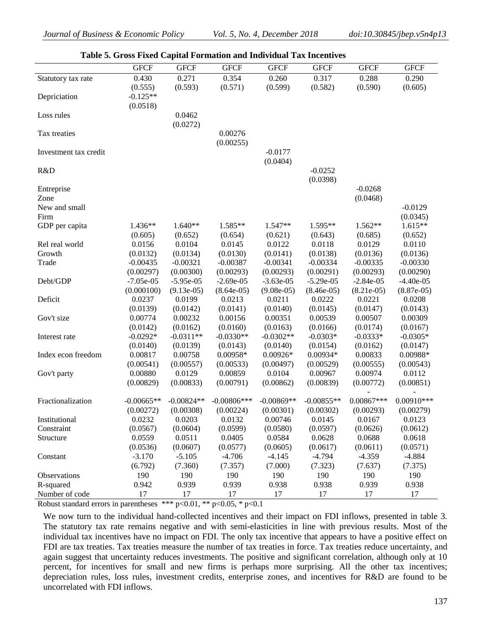|                       |              |              | Table 5. Gross Fixed Capital Formation and Individual Tax Incentives |              |              |              |              |
|-----------------------|--------------|--------------|----------------------------------------------------------------------|--------------|--------------|--------------|--------------|
|                       | <b>GFCF</b>  | <b>GFCF</b>  | <b>GFCF</b>                                                          | <b>GFCF</b>  | <b>GFCF</b>  | <b>GFCF</b>  | <b>GFCF</b>  |
| Statutory tax rate    | 0.430        | 0.271        | 0.354                                                                | 0.260        | 0.317        | 0.288        | 0.290        |
|                       | (0.555)      | (0.593)      | (0.571)                                                              | (0.599)      | (0.582)      | (0.590)      | (0.605)      |
| Depriciation          | $-0.125**$   |              |                                                                      |              |              |              |              |
|                       | (0.0518)     |              |                                                                      |              |              |              |              |
| Loss rules            |              | 0.0462       |                                                                      |              |              |              |              |
|                       |              | (0.0272)     |                                                                      |              |              |              |              |
| Tax treaties          |              |              | 0.00276                                                              |              |              |              |              |
|                       |              |              | (0.00255)                                                            |              |              |              |              |
| Investment tax credit |              |              |                                                                      | $-0.0177$    |              |              |              |
|                       |              |              |                                                                      | (0.0404)     |              |              |              |
| R&D                   |              |              |                                                                      |              | $-0.0252$    |              |              |
|                       |              |              |                                                                      |              | (0.0398)     |              |              |
| Entreprise            |              |              |                                                                      |              |              | $-0.0268$    |              |
| Zone                  |              |              |                                                                      |              |              | (0.0468)     |              |
| New and small         |              |              |                                                                      |              |              |              | $-0.0129$    |
| Firm                  |              |              |                                                                      |              |              |              | (0.0345)     |
| GDP per capita        | $1.436**$    | $1.640**$    | 1.585**                                                              | $1.547**$    | $1.595**$    | 1.562**      | $1.615**$    |
|                       | (0.605)      | (0.652)      | (0.654)                                                              | (0.621)      | (0.643)      | (0.685)      | (0.652)      |
| Rel real world        | 0.0156       | 0.0104       | 0.0145                                                               | 0.0122       | 0.0118       | 0.0129       | 0.0110       |
| Growth                | (0.0132)     | (0.0134)     | (0.0130)                                                             | (0.0141)     | (0.0138)     | (0.0136)     | (0.0136)     |
| Trade                 | $-0.00435$   | $-0.00321$   | $-0.00387$                                                           | $-0.00341$   | $-0.00334$   | $-0.00335$   | $-0.00330$   |
|                       | (0.00297)    | (0.00300)    | (0.00293)                                                            | (0.00293)    | (0.00291)    | (0.00293)    | (0.00290)    |
| Debt/GDP              | $-7.05e-05$  | $-5.95e-05$  | $-2.69e-05$                                                          | $-3.63e-05$  | $-5.29e-05$  | $-2.84e-05$  | $-4.40e-05$  |
|                       | (0.000100)   | $(9.13e-05)$ | $(8.64e-05)$                                                         | $(9.08e-05)$ | $(8.46e-05)$ | $(8.21e-05)$ | $(8.87e-05)$ |
| Deficit               | 0.0237       | 0.0199       | 0.0213                                                               | 0.0211       | 0.0222       | 0.0221       | 0.0208       |
|                       | (0.0139)     | (0.0142)     | (0.0141)                                                             | (0.0140)     | (0.0145)     | (0.0147)     | (0.0143)     |
| Gov't size            | 0.00774      | 0.00232      | 0.00156                                                              | 0.00351      | 0.00539      | 0.00507      | 0.00309      |
|                       | (0.0142)     | (0.0162)     | (0.0160)                                                             | (0.0163)     | (0.0166)     | (0.0174)     | (0.0167)     |
| Interest rate         | $-0.0292*$   | $-0.0311**$  | $-0.0330**$                                                          | $-0.0302**$  | $-0.0303*$   | $-0.0333*$   | $-0.0305*$   |
|                       | (0.0140)     | (0.0139)     | (0.0143)                                                             | (0.0140)     | (0.0154)     | (0.0162)     | (0.0147)     |
| Index econ freedom    | 0.00817      | 0.00758      | 0.00958*                                                             | $0.00926*$   | $0.00934*$   | 0.00833      | 0.00988*     |
|                       | (0.00541)    | (0.00557)    | (0.00533)                                                            | (0.00497)    | (0.00529)    | (0.00555)    | (0.00543)    |
| Gov't party           | 0.00880      | 0.0129       | 0.00859                                                              | 0.0104       | 0.00967      | 0.00974      | 0.0112       |
|                       | (0.00829)    | (0.00833)    | (0.00791)                                                            | (0.00862)    | (0.00839)    | (0.00772)    | (0.00851)    |
|                       |              |              |                                                                      |              |              |              |              |
| Fractionalization     | $-0.00665**$ | $-0.00824**$ | $-0.00806$ ***                                                       | $-0.00869**$ | $-0.00855**$ | $0.00867***$ | $0.00910***$ |
|                       | (0.00272)    | (0.00308)    | (0.00224)                                                            | (0.00301)    | (0.00302)    | (0.00293)    | (0.00279)    |
| Institutional         | 0.0232       | 0.0203       | 0.0132                                                               | 0.00746      | 0.0145       | 0.0167       | 0.0123       |
| Constraint            | (0.0567)     | (0.0604)     | (0.0599)                                                             | (0.0580)     | (0.0597)     | (0.0626)     | (0.0612)     |
| Structure             | 0.0559       | 0.0511       | 0.0405                                                               | 0.0584       | 0.0628       | 0.0688       | 0.0618       |
|                       | (0.0536)     | (0.0607)     | (0.0577)                                                             | (0.0605)     | (0.0617)     | (0.0611)     | (0.0571)     |
| Constant              | $-3.170$     | $-5.105$     | $-4.706$                                                             | $-4.145$     | $-4.794$     | $-4.359$     | $-4.884$     |
|                       | (6.792)      | (7.360)      | (7.357)                                                              | (7.000)      | (7.323)      | (7.637)      | (7.375)      |
| Observations          | 190          | 190          | 190                                                                  | 190          | 190          | 190          | 190          |
| R-squared             | 0.942        | 0.939        | 0.939                                                                | 0.938        | 0.938        | 0.939        | 0.938        |
| Number of code        | 17           | 17           | 17                                                                   | 17           | 17           | 17           | 17           |

**Table 5. Gross Fixed Capital Formation and Individual Tax Incentives**

Robust standard errors in parentheses \*\*\*  $p<0.01$ , \*\*  $p<0.05$ , \*  $p<0.1$ 

We now turn to the individual hand-collected incentives and their impact on FDI inflows, presented in table 3. The statutory tax rate remains negative and with semi-elasticities in line with previous results. Most of the individual tax incentives have no impact on FDI. The only tax incentive that appears to have a positive effect on FDI are tax treaties. Tax treaties measure the number of tax treaties in force. Tax treaties reduce uncertainty, and again suggest that uncertainty reduces investments. The positive and significant correlation, although only at 10 percent, for incentives for small and new firms is perhaps more surprising. All the other tax incentives; depreciation rules, loss rules, investment credits, enterprise zones, and incentives for R&D are found to be uncorrelated with FDI inflows.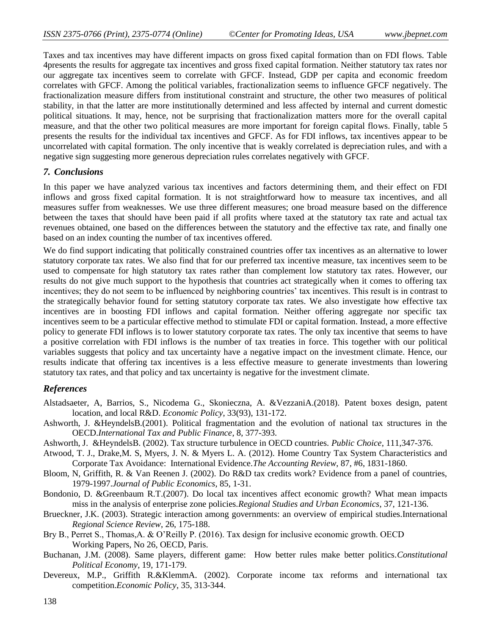Taxes and tax incentives may have different impacts on gross fixed capital formation than on FDI flows. Table 4presents the results for aggregate tax incentives and gross fixed capital formation. Neither statutory tax rates nor our aggregate tax incentives seem to correlate with GFCF. Instead, GDP per capita and economic freedom correlates with GFCF. Among the political variables, fractionalization seems to influence GFCF negatively. The fractionalization measure differs from institutional constraint and structure, the other two measures of political stability, in that the latter are more institutionally determined and less affected by internal and current domestic political situations. It may, hence, not be surprising that fractionalization matters more for the overall capital measure, and that the other two political measures are more important for foreign capital flows. Finally, table 5 presents the results for the individual tax incentives and GFCF. As for FDI inflows, tax incentives appear to be uncorrelated with capital formation. The only incentive that is weakly correlated is depreciation rules, and with a negative sign suggesting more generous depreciation rules correlates negatively with GFCF.

## *7. Conclusions*

In this paper we have analyzed various tax incentives and factors determining them, and their effect on FDI inflows and gross fixed capital formation. It is not straightforward how to measure tax incentives, and all measures suffer from weaknesses. We use three different measures; one broad measure based on the difference between the taxes that should have been paid if all profits where taxed at the statutory tax rate and actual tax revenues obtained, one based on the differences between the statutory and the effective tax rate, and finally one based on an index counting the number of tax incentives offered.

We do find support indicating that politically constrained countries offer tax incentives as an alternative to lower statutory corporate tax rates. We also find that for our preferred tax incentive measure, tax incentives seem to be used to compensate for high statutory tax rates rather than complement low statutory tax rates. However, our results do not give much support to the hypothesis that countries act strategically when it comes to offering tax incentives; they do not seem to be influenced by neighboring countries' tax incentives. This result is in contrast to the strategically behavior found for setting statutory corporate tax rates. We also investigate how effective tax incentives are in boosting FDI inflows and capital formation. Neither offering aggregate nor specific tax incentives seem to be a particular effective method to stimulate FDI or capital formation. Instead, a more effective policy to generate FDI inflows is to lower statutory corporate tax rates. The only tax incentive that seems to have a positive correlation with FDI inflows is the number of tax treaties in force. This together with our political variables suggests that policy and tax uncertainty have a negative impact on the investment climate. Hence, our results indicate that offering tax incentives is a less effective measure to generate investments than lowering statutory tax rates, and that policy and tax uncertainty is negative for the investment climate.

### *References*

- Alstadsaeter, A, Barrios, S., Nicodema G., Skonieczna, A. &VezzaniA.(2018). Patent boxes design, patent location, and local R&D. *Economic Policy*, 33(93), 131-172.
- Ashworth, J. &HeyndelsB.(2001). Political fragmentation and the evolution of national tax structures in the OECD.*International Tax and Public Finance*, 8, 377-393.
- Ashworth, J. &HeyndelsB. (2002). Tax structure turbulence in OECD countries*. Public Choice*, 111,347-376.
- Atwood, T. J., Drake,M. S, Myers, J. N. & Myers L. A. (2012). Home Country Tax System Characteristics and Corporate Tax Avoidance: International Evidence.*The Accounting Review*, 87, #6, 1831-1860.
- Bloom, N, Griffith, R. & Van Reenen J. (2002). Do R&D tax credits work? Evidence from a panel of countries, 1979-1997.*Journal of Public Economics*, 85, 1-31.
- Bondonio, D. &Greenbaum R.T.(2007). Do local tax incentives affect economic growth? What mean impacts miss in the analysis of enterprise zone policies.*Regional Studies and Urban Economics*, 37, 121-136.
- Brueckner, J.K. (2003). Strategic interaction among governments: an overview of empirical studies.International *Regional Science Review*, 26, 175-188.
- Bry B., Perret S., Thomas,A. & O'Reilly P. (2016). Tax design for inclusive economic growth. OECD Working Papers, No 26, OECD, Paris.
- Buchanan, J.M. (2008). Same players, different game: How better rules make better politics.*Constitutional Political Economy*, 19, 171-179.
- Devereux, M.P., Griffith R.&KlemmA. (2002). Corporate income tax reforms and international tax competition.*Economic Policy*, 35, 313-344.